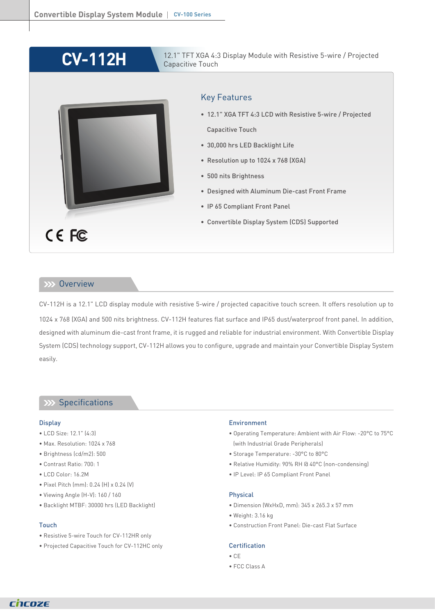# **CV-112H**



### 12.1" TFT XGA 4:3 Display Module with Resistive 5-wire / Projected Capacitive Touch

# Key Features

- 12.1" XGA TFT 4:3 LCD with Resistive 5-wire / Projected Capacitive Touch
- 30,000 hrs LED Backlight Life
- Resolution up to 1024 x 768 (XGA)
- 500 nits Brightness
- Designed with Aluminum Die-cast Front Frame
- IP 65 Compliant Front Panel
- Convertible Display System (CDS) Supported

### **Overview**

CV-112H is a 12.1" LCD display module with resistive 5-wire / projected capacitive touch screen. It offers resolution up to 1024 x 768 (XGA) and 500 nits brightness. CV-112H features flat surface and IP65 dust/waterproof front panel. In addition, designed with aluminum die-cast front frame, it is rugged and reliable for industrial environment. With Convertible Display System (CDS) technology support, CV-112H allows you to configure, upgrade and maintain your Convertible Display System easily.

# XX Specifications

#### **Display**

- LCD Size: 12.1" (4:3)
- Max. Resolution: 1024 x 768
- Brightness (cd/m2): 500
- Contrast Ratio: 700: 1
- LCD Color: 16.2M
- Pixel Pitch (mm): 0.24 (H) x 0.24 (V)
- Viewing Angle (H-V): 160 / 160
- Backlight MTBF: 30000 hrs (LED Backlight)

#### Touch

- Resistive 5-wire Touch for CV-112HR only
- Projected Capacitive Touch for CV-112HC only

#### Environment

- Operating Temperature: Ambient with Air Flow: -20°C to 75°C (with Industrial Grade Peripherals)
- Storage Temperature: -30°C to 80°C
- Relative Humidity: 90% RH @ 40°C (non-condensing)
- IP Level: IP 65 Compliant Front Panel

#### Physical

- Dimension (WxHxD, mm): 345 x 265.3 x 57 mm
- Weight: 3.16 kg
- Construction Front Panel: Die-cast Flat Surface

#### **Certification**

- CE
- FCC Class A